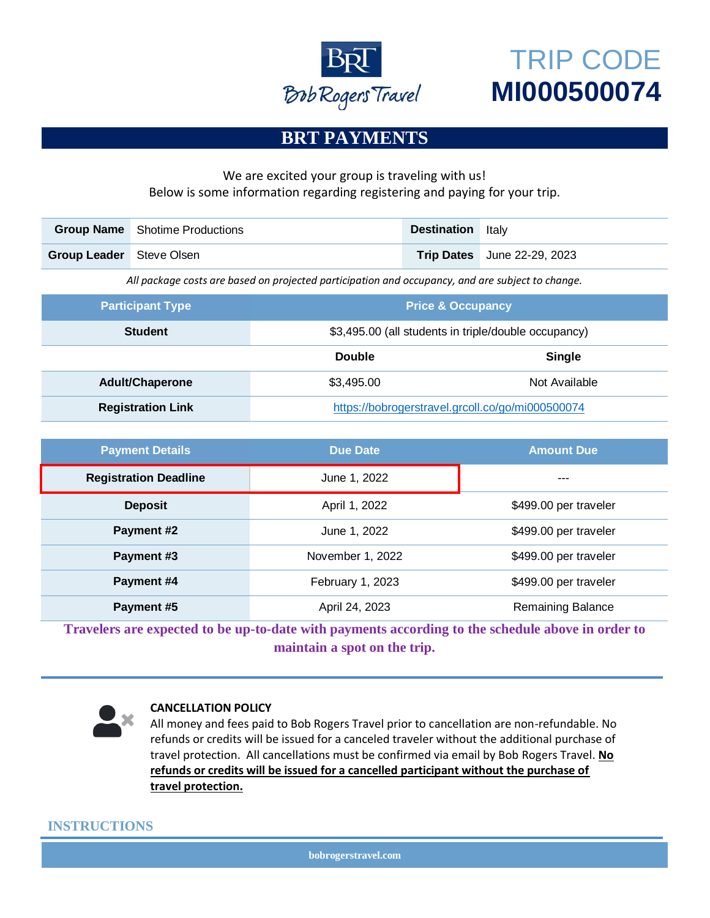

# TRIP CODE **MI000500074**

## **BRT PAYMENTS**

#### We are excited your group is traveling with us! Below is some information regarding registering and paying for your trip.

| <b>Group Name</b>                                                                                | <b>Shotime Productions</b> |                                                      | <b>Destination</b> | Italy            |  |  |  |
|--------------------------------------------------------------------------------------------------|----------------------------|------------------------------------------------------|--------------------|------------------|--|--|--|
| <b>Group Leader</b>                                                                              | Steve Olsen                |                                                      | <b>Trip Dates</b>  | June 22-29, 2023 |  |  |  |
| All package costs are based on projected participation and occupancy, and are subject to change. |                            |                                                      |                    |                  |  |  |  |
| <b>Participant Type</b>                                                                          |                            | <b>Price &amp; Occupancy</b>                         |                    |                  |  |  |  |
| <b>Student</b>                                                                                   |                            | \$3,495.00 (all students in triple/double occupancy) |                    |                  |  |  |  |
|                                                                                                  |                            | <b>Double</b>                                        |                    | <b>Single</b>    |  |  |  |
| <b>Adult/Chaperone</b>                                                                           |                            | \$3,495.00                                           |                    | Not Available    |  |  |  |
|                                                                                                  |                            |                                                      |                    |                  |  |  |  |

| <b>Payment Details</b>       | <b>Due Date</b>  | <b>Amount Due</b>     |
|------------------------------|------------------|-----------------------|
| <b>Registration Deadline</b> | June 1, 2022     | ---                   |
| <b>Deposit</b>               | April 1, 2022    | \$499.00 per traveler |
| Payment #2                   | June 1, 2022     | \$499.00 per traveler |
| Payment #3                   | November 1, 2022 | \$499.00 per traveler |
| Payment #4                   | February 1, 2023 | \$499.00 per traveler |
| Payment #5                   | April 24, 2023   | Remaining Balance     |

**Travelers are expected to be up-to-date with payments according to the schedule above in order to maintain a spot on the trip.**



#### **CANCELLATION POLICY**

All money and fees paid to Bob Rogers Travel prior to cancellation are non-refundable. No refunds or credits will be issued for a canceled traveler without the additional purchase of travel protection. All cancellations must be confirmed via email by Bob Rogers Travel. **No refunds or credits will be issued for a cancelled participant without the purchase of travel protection.**

#### **INSTRUCTIONS**

**bobrogerstravel.com**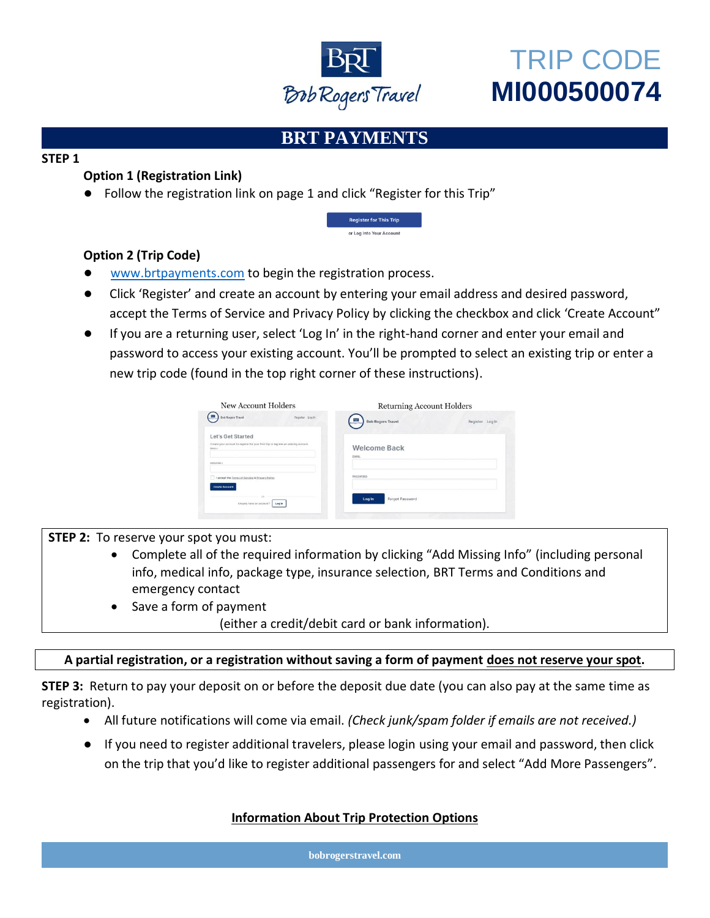

# TRIP CODE **MI000500074**

## **BRT PAYMENTS**

#### **STEP 1**

### **Option 1 (Registration Link)**

● Follow the registration link on page 1 and click "Register for this Trip"



### **Option 2 (Trip Code)**

- [www.brtpayments.com](http://www.brtpayments.com/) to begin the registration process.
- Click 'Register' and create an account by entering your email address and desired password, accept the Terms of Service and Privacy Policy by clicking the checkbox and click 'Create Account"
- If you are a returning user, select 'Log In' in the right-hand corner and enter your email and password to access your existing account. You'll be prompted to select an existing trip or enter a new trip code (found in the top right corner of these instructions).

| New Account Holders                                                                                                                       | <b>Returning Account Holders</b>            |  |
|-------------------------------------------------------------------------------------------------------------------------------------------|---------------------------------------------|--|
| <b>Bob Rogers Travel</b><br>Register Log In                                                                                               | <b>Bob Rogers Travel</b><br>Register Log In |  |
| Let's Get Started<br>Create your account to register for your first trip or log into an existing account.<br>CHAIN A<br><b>BASSINGO 6</b> | <b>Welcome Back</b><br>EMAIL                |  |
| I accept the Terms of Service & Privacy Policy<br><b>Create Account</b>                                                                   | PASSWORD                                    |  |
| m<br>Already have an account?<br>Log <sub>In</sub>                                                                                        | Forgot Password<br>Login                    |  |

**STEP 2:** To reserve your spot you must:

- Complete all of the required information by clicking "Add Missing Info" (including personal info, medical info, package type, insurance selection, BRT Terms and Conditions and emergency contact
- Save a form of payment

(either a credit/debit card or bank information).

#### **A partial registration, or a registration without saving a form of payment does not reserve your spot.**

**STEP 3:** Return to pay your deposit on or before the deposit due date (you can also pay at the same time as registration).

- All future notifications will come via email. *(Check junk/spam folder if emails are not received.)*
- If you need to register additional travelers, please login using your email and password, then click on the trip that you'd like to register additional passengers for and select "Add More Passengers".

### **Information About Trip Protection Options**

**bobrogerstravel.com**